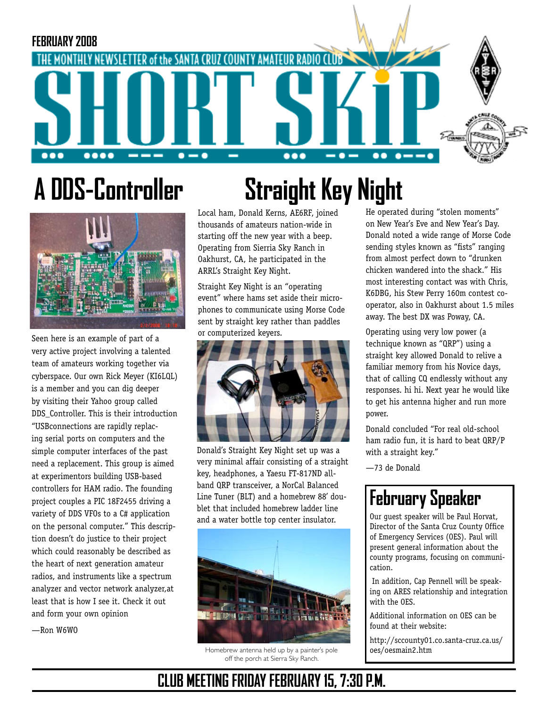

# **A DDS-Controller**



Seen here is an example of part of a very active project involving a talented team of amateurs working together via cyberspace. Our own Rick Meyer (KI6LQL) is a member and you can dig deeper by visiting their Yahoo group called DDS Controller. This is their introduction "USBconnections are rapidly replacing serial ports on computers and the simple computer interfaces of the past need a replacement. This group is aimed at experimentors building USB-based controllers for HAM radio. The founding project couples a PIC 18F2455 driving a variety of DDS VFOs to a C# application on the personal computer." This description doesn't do justice to their project which could reasonably be described as the heart of next generation amateur radios, and instruments like a spectrum analyzer and vector network analyzer,at least that is how I see it. Check it out and form your own opinion

—Ron W6WO

# **Straight Key Night**

Local ham, Donald Kerns, AE6RF, joined thousands of amateurs nation-wide in starting off the new year with a beep. Operating from Sierria Sky Ranch in Oakhurst, CA, he participated in the ARRL's Straight Key Night.

Straight Key Night is an "operating event" where hams set aside their microphones to communicate using Morse Code sent by straight key rather than paddles or computerized keyers.



Donald's Straight Key Night set up was a very minimal affair consisting of a straight key, headphones, a Yaesu FT-817ND allband QRP transceiver, a NorCal Balanced Line Tuner (BLT) and a homebrew 88' doublet that included homebrew ladder line and a water bottle top center insulator.



Homebrew antenna held up by a painter's pole off the porch at Sierra Sky Ranch.

He operated during "stolen moments" on New Year's Eve and New Year's Day. Donald noted a wide range of Morse Code sending styles known as "fists" ranging from almost perfect down to "drunken chicken wandered into the shack." His most interesting contact was with Chris, K6DBG, his Stew Perry 160m contest cooperator, also in Oakhurst about 1.5 miles away. The best DX was Poway, CA.

Operating using very low power (a technique known as "QRP") using a straight key allowed Donald to relive a familiar memory from his Novice days, that of calling CQ endlessly without any responses. hi hi. Next year he would like to get his antenna higher and run more power.

Donald concluded "For real old-school ham radio fun, it is hard to beat QRP/P with a straight key."

—73 de Donald

## **February Speaker**

Our guest speaker will be Paul Horvat, Director of the Santa Cruz County Office of Emergency Services (OES). Paul will present general information about the county programs, focusing on communication.

 In addition, Cap Pennell will be speaking on ARES relationship and integration with the OES.

Additional information on OES can be found at their website:

http://sccounty01.co.santa-cruz.ca.us/ oes/oesmain2.htm

### **CLUB MEETING FRIDAY FEBRUARY 15, 7:30 P.M.**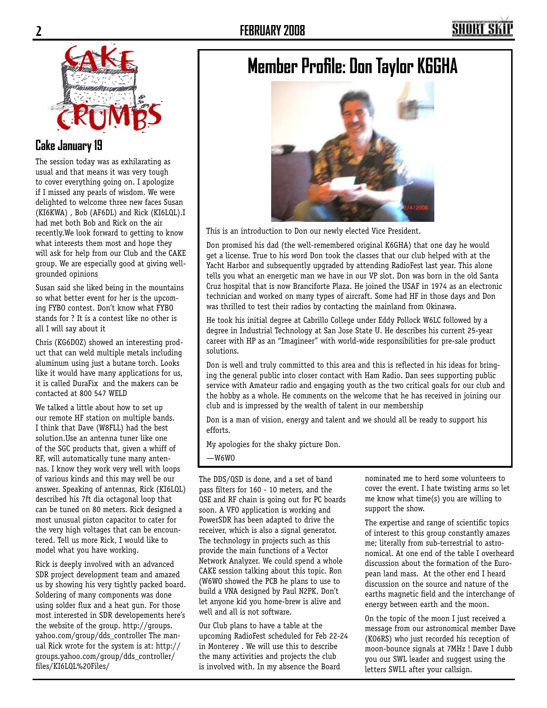

#### **Cake January 19**

The session today was as exhilarating as usual and that means it was very tough to cover everything going on. I apologize if I missed any pearls of wisdom. We were delighted to welcome three new faces Susan (KI6KWA) , Bob (AF6DL) and Rick (KI6LQL).I had met both Bob and Rick on the air recently.We look forward to getting to know what interests them most and hope they will ask for help from our Club and the CAKE group. We are especially good at giving wellgrounded opinions

Susan said she liked being in the mountains so what better event for her is the upcoming FYBO contest. Don't know what FYBO stands for ? It is a contest like no other is all I will say about it

Chris (KG6DOZ) showed an interesting product that can weld multiple metals including aluminum using just a butane torch. Looks like it would have many applications for us, it is called DuraFix and the makers can be contacted at 800 547 WELD

We talked a little about how to set up our remote HF station on multiple bands. I think that Dave (W8FLL) had the best solution.Use an antenna tuner like one of the SGC products that, given a whiff of RF, will automatically tune many antennas. I know they work very well with loops of various kinds and this may well be our answer. Speaking of antennas, Rick (KI6LQL) described his 7ft dia octagonal loop that can be tuned on 80 meters. Rick designed a most unusual piston capacitor to cater for the very high voltages that can be encountered. Tell us more Rick, I would like to model what you have working.

Rick is deeply involved with an advanced SDR project development team and amazed us by showing his very tightly packed board. Soldering of many components was done using solder flux and a heat gun. For those most interested in SDR developements here's the website of the group. http://groups. yahoo.com/group/dds\_controller The manual Rick wrote for the system is at: http:// groups.yahoo.com/group/dds\_controller/ files/KI6LQL%20Files/

### **Member Profile: Don Taylor K6GHA**



This is an introduction to Don our newly elected Vice President.

Don promised his dad (the well-remembered original K6GHA) that one day he would get a license. True to his word Don took the classes that our club helped with at the Yacht Harbor and subsequently upgraded by attending RadioFest last year. This alone tells you what an energetic man we have in our VP slot. Don was born in the old Santa Cruz hospital that is now Branciforte Plaza. He joined the USAF in 1974 as an electronic technician and worked on many types of aircraft. Some had HF in those days and Don was thrilled to test their radios by contacting the mainland from Okinawa.

He took his initial degree at Cabrillo College under Eddy Pollock W6LC followed by a degree in Industrial Technology at San Jose State U. He describes his current 25-year career with HP as an "Imagineer" with world-wide responsibilities for pre-sale product solutions.

Don is well and truly committed to this area and this is reflected in his ideas for bringing the general public into closer contact with Ham Radio. Dan sees supporting public service with Amateur radio and engaging youth as the two critical goals for our club and the hobby as a whole. He comments on the welcome that he has received in joining our club and is impressed by the wealth of talent in our membership

Don is a man of vision, energy and talent and we should all be ready to support his efforts.

My apologies for the shaky picture Don.

—W6WO

The DDS/QSD is done, and a set of band pass filters for 160 - 10 meters, and the QSE and RF chain is going out for PC boards soon. A VFO application is working and PowerSDR has been adapted to drive the receiver, which is also a signal generator. The technology in projects such as this provide the main functions of a Vector Network Analyzer. We could spend a whole CAKE session talking about this topic. Ron (W6WO showed the PCB he plans to use to build a VNA designed by Paul N2PK. Don't let anyone kid you home-brew is alive and well and all is not software.

Our Club plans to have a table at the upcoming RadioFest scheduled for Feb 22-24 in Monterey . We will use this to describe the many activities and projects the club is involved with. In my absence the Board

nominated me to herd some volunteers to cover the event. I hate twisting arms so let me know what time(s) you are willing to support the show.

The expertise and range of scientific topics of interest to this group constantly amazes me; literally from sub-terrestrial to astronomical. At one end of the table I overheard discussion about the formation of the European land mass. At the other end I heard discussion on the source and nature of the earths magnetic field and the interchange of energy between earth and the moon.

On the topic of the moon I just received a message from our astronomical member Dave (KO6RS) who just recorded his reception of moon-bounce signals at 7MHz ! Dave I dubb you our SWL leader and suggest using the letters SWLL after your callsign.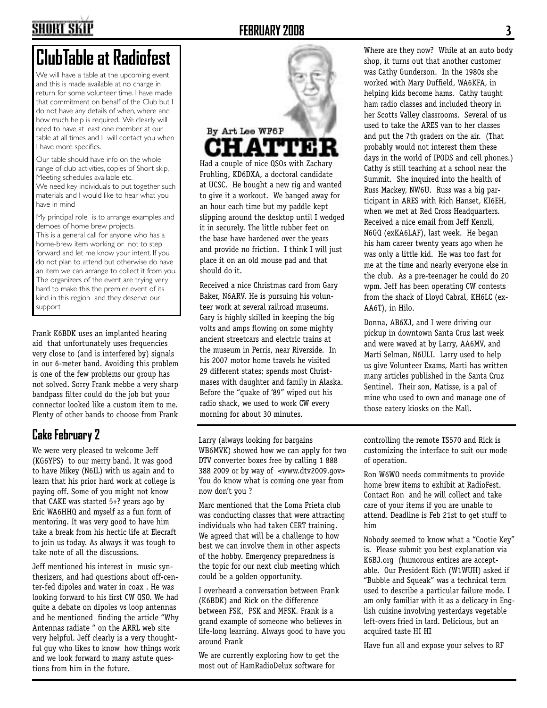### SHORT SKI

#### **FEBRUARY 2008 3**

## **ClubTable at Radiofest**

We will have a table at the upcoming event and this is made available at no charge in return for some volunteer time. I have made that commitment on behalf of the Club but I do not have any details of when, where and how much help is required. We clearly will need to have at least one member at our table at all times and I will contact you when I have more specifics.

Our table should have info on the whole range of club activities, copies of Short skip, Meeting schedules available etc. We need key individuals to put together such materials and I would like to hear what you have in mind

My principal role is to arrange examples and demoes of home brew projects. This is a general call for anyone who has a home-brew item working or not to step forward and let me know your intent. If you do not plan to attend but otherwise do have an item we can arrange to collect it from you. The organizers of the event are trying very hard to make this the premier event of its kind in this region and they deserve our support

Frank K6BDK uses an implanted hearing aid that unfortunately uses frequencies very close to (and is interfered by) signals in our 6-meter band. Avoiding this problem is one of the few problems our group has not solved. Sorry Frank mebbe a very sharp bandpass filter could do the job but your connector looked like a custom item to me. Plenty of other bands to choose from Frank

### **Cake February 2**

We were very pleased to welcome Jeff (KG6YPS) to our merry band. It was good to have Mikey (N6IL) with us again and to learn that his prior hard work at college is paying off. Some of you might not know that CAKE was started 5+? years ago by Eric WA6HHQ and myself as a fun form of mentoring. It was very good to have him take a break from his hectic life at Elecraft to join us today. As always it was tough to take note of all the discussions.

Jeff mentioned his interest in music synthesizers, and had questions about off-center-fed dipoles and water in coax . He was looking forward to his first CW QSO. We had quite a debate on dipoles vs loop antennas and he mentioned finding the article "Why Antennas radiate " on the ARRL web site very helpful. Jeff clearly is a very thoughtful guy who likes to know how things work and we look forward to many astute questions from him in the future.



Had a couple of nice QSOs with Zachary Fruhling, KD6DXA, a doctoral candidate at UCSC. He bought a new rig and wanted to give it a workout. We banged away for an hour each time but my paddle kept slipping around the desktop until I wedged it in securely. The little rubber feet on the base have hardened over the years and provide no friction. I think I will just place it on an old mouse pad and that should do it.

Received a nice Christmas card from Gary Baker, N6ARV. He is pursuing his volunteer work at several railroad museums. Gary is highly skilled in keeping the big volts and amps flowing on some mighty ancient streetcars and electric trains at the museum in Perris, near Riverside. In his 2007 motor home travels he visited 29 different states; spends most Christmases with daughter and family in Alaska. Before the "quake of '89" wiped out his radio shack, we used to work CW every morning for about 30 minutes.

Larry (always looking for bargains WB6MVK) showed how we can apply for two DTV converter boxes free by calling 1 888 388 2009 or by way of <www.dtv2009.gov> You do know what is coming one year from now don't you ?

Marc mentioned that the Loma Prieta club was conducting classes that were attracting individuals who had taken CERT training. We agreed that will be a challenge to how best we can involve them in other aspects of the hobby. Emergency preparedness is the topic for our next club meeting which could be a golden opportunity.

I overheard a conversation between Frank (K6BDK) and Rick on the difference between FSK, PSK and MFSK. Frank is a grand example of someone who believes in life-long learning. Always good to have you around Frank

We are currently exploring how to get the most out of HamRadioDelux software for

Where are they now? While at an auto body shop, it turns out that another customer was Cathy Gunderson. In the 1980s she worked with Mary Duffield, WA6KFA, in helping kids become hams. Cathy taught ham radio classes and included theory in her Scotts Valley classrooms. Several of us used to take the ARES van to her classes and put the 7th graders on the air. (That probably would not interest them these days in the world of IPODS and cell phones.) Cathy is still teaching at a school near the Summit. She inquired into the health of Russ Mackey, NW6U. Russ was a big participant in ARES with Rich Hanset, KI6EH, when we met at Red Cross Headquarters. Received a nice email from Jeff Kenzli, N6GQ (exKA6LAF), last week. He began his ham career twenty years ago when he was only a little kid. He was too fast for me at the time and nearly everyone else in the club. As a pre-teenager he could do 20 wpm. Jeff has been operating CW contests from the shack of Lloyd Cabral, KH6LC (ex-AA6T), in Hilo.

Donna, AB6XJ, and I were driving our pickup in downtown Santa Cruz last week and were waved at by Larry, AA6MV, and Marti Selman, N6ULI. Larry used to help us give Volunteer Exams, Marti has written many articles published in the Santa Cruz Sentinel. Their son, Matisse, is a pal of mine who used to own and manage one of those eatery kiosks on the Mall.

controlling the remote TS570 and Rick is customizing the interface to suit our mode of operation.

Ron W6WO needs commitments to provide home brew items to exhibit at RadioFest. Contact Ron and he will collect and take care of your items if you are unable to attend. Deadline is Feb 21st to get stuff to him

Nobody seemed to know what a "Cootie Key" is. Please submit you best explanation via K6BJ.org (humorous entires are acceptable. Our President Rich (W1WUH) asked if "Bubble and Squeak" was a technical term used to describe a particular failure mode. I am only familiar with it as a delicacy in English cuisine involving yesterdays vegetable left-overs fried in lard. Delicious, but an acquired taste HI HI

Have fun all and expose your selves to RF